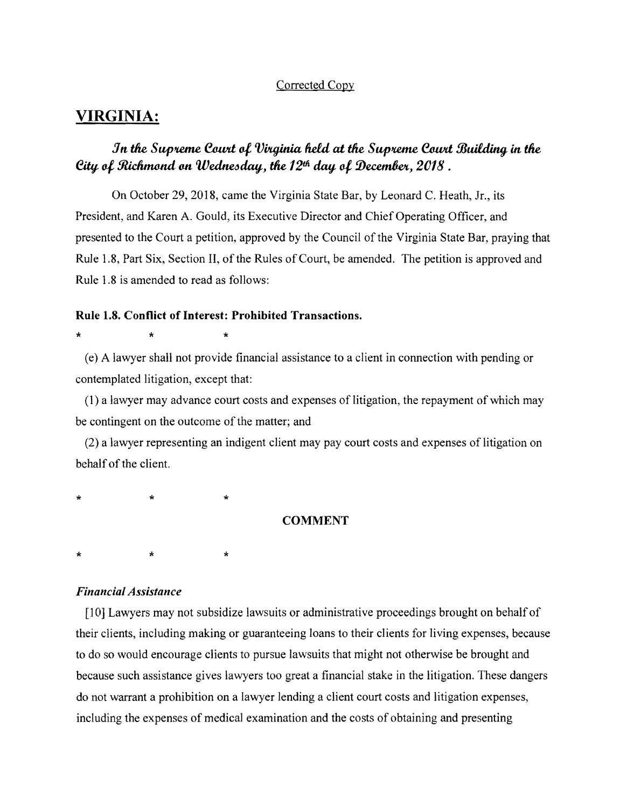## Corrected Copy

## **VIRGINIA:**

# *Jn the Supreme Court of Virginia held at the Supreme Court Building in the* Eity of Richmond on Wednesday, the 12<sup>th</sup> day of December, 2018.

On October 29,2018, came the Virginia State Bar, by Leonard C. Heath, Jr., its President, and Karen A. Gould, its Executive Director and Chief Operating Officer, and presented to the Court a petition, approved by the Council of the Virginia State Bar, praying that Rule 1.8, Part Six, Section II, of the Rules of Court, be amended. The petition is approved and Rule 1.8 is amended to read as follows:

### Rule 1.8. Conflict of Interest: Prohibited Transactions.

 $\star$  \*  $\star$  \*

(e) A lawyer shall not provide financial assistance to a client in connection with pending or contemplated litigation, except that:

(1) a lawyer may advance court costs and expenses of litigation, the repayment of which may be contingent on the outcome of the matter; and

(2) a lawyer representing an indigent client may pay court costs and expenses of litigation on behalf of the client.

\* \* \*

\* \* \*

#### COMMENT

*Financial Assistance* 

[10] Lawyers may not subsidize lawsuits or administrative proceedings brought on behalf of their clients, including making or guaranteeing loans to their clients for living expenses, because to do so would encourage clients to pursue lawsuits that might not otherwise be brought and because such assistance gives lawyers too great a financial stake in the litigation. These dangers do not warrant a prohibition on a lawyer lending a client court costs and litigation expenses, including the expenses of medical examination and the costs of obtaining and presenting